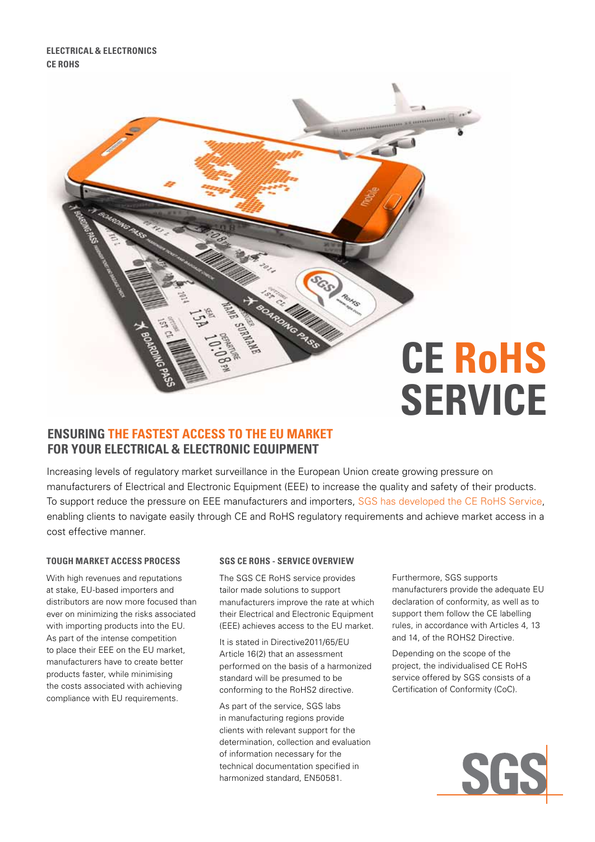

# **Ensuring the Fastest Access to the EU Market for your Electrical & Electronic Equipment**

Increasing levels of regulatory market surveillance in the European Union create growing pressure on manufacturers of Electrical and Electronic Equipment (EEE) to increase the quality and safety of their products. To support reduce the pressure on EEE manufacturers and importers, SGS has developed the CE RoHS Service, enabling clients to navigate easily through CE and RoHS regulatory requirements and achieve market access in a cost effective manner.

### **tough market access process**

With high revenues and reputations at stake, EU-based importers and distributors are now more focused than ever on minimizing the risks associated with importing products into the EU. As part of the intense competition to place their EEE on the EU market, manufacturers have to create better products faster, while minimising the costs associated with achieving compliance with EU requirements.

### **SGS CE RoHS - Service overview**

The SGS CE RoHS service provides tailor made solutions to support manufacturers improve the rate at which their Electrical and Electronic Equipment (EEE) achieves access to the EU market.

It is stated in Directive2011/65/EU Article 16(2) that an assessment performed on the basis of a harmonized standard will be presumed to be conforming to the RoHS2 directive.

As part of the service, SGS labs in manufacturing regions provide clients with relevant support for the determination, collection and evaluation of information necessary for the technical documentation specified in harmonized standard, EN50581.

Furthermore, SGS supports manufacturers provide the adequate EU declaration of conformity, as well as to support them follow the CE labelling rules, in accordance with Articles 4, 13 and 14, of the ROHS2 Directive.

Depending on the scope of the project, the individualised CE RoHS service offered by SGS consists of a Certification of Conformity (CoC).